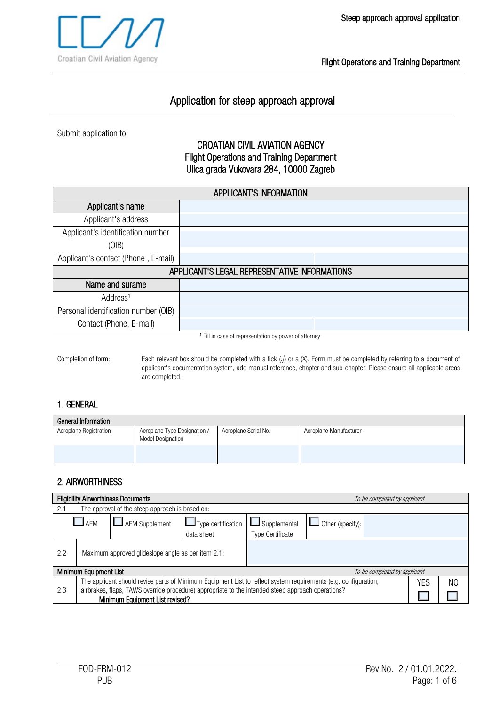

# Application for steep approach approval

Submit application to:

### CROATIAN CIVIL AVIATION AGENCY Flight Operations and Training Department Ulica grada Vukovara 284, 10000 Zagreb

| <b>APPLICANT'S INFORMATION</b>       |                                               |  |  |
|--------------------------------------|-----------------------------------------------|--|--|
| Applicant's name                     |                                               |  |  |
| Applicant's address                  |                                               |  |  |
| Applicant's identification number    |                                               |  |  |
| (OIB)                                |                                               |  |  |
| Applicant's contact (Phone, E-mail)  |                                               |  |  |
|                                      | APPLICANT'S LEGAL REPRESENTATIVE INFORMATIONS |  |  |
| Name and surame                      |                                               |  |  |
| Address <sup>1</sup>                 |                                               |  |  |
| Personal identification number (OIB) |                                               |  |  |
| Contact (Phone, E-mail)              |                                               |  |  |

<sup>1</sup> Fill in case of representation by power of attorney.

Completion of form: Each relevant box should be completed with a tick (√) or a (X). Form must be completed by referring to a document of applicant's documentation system, add manual reference, chapter and sub-chapter. Please ensure all applicable areas are completed.

### 1. GENERAL

| General Information    |                                                          |                      |                        |  |  |  |
|------------------------|----------------------------------------------------------|----------------------|------------------------|--|--|--|
| Aeroplane Registration | Aeroplane Type Designation /<br><b>Model Designation</b> | Aeroplane Serial No. | Aeroplane Manufacturer |  |  |  |
|                        |                                                          |                      |                        |  |  |  |

### 2. AIRWORTHINESS

| <b>Eligibility Airworthiness Documents</b>                                                                                                                                                                                  |                                 |                                                 |                           | To be completed by applicant |                         |  |  |
|-----------------------------------------------------------------------------------------------------------------------------------------------------------------------------------------------------------------------------|---------------------------------|-------------------------------------------------|---------------------------|------------------------------|-------------------------|--|--|
| 2.1                                                                                                                                                                                                                         |                                 | The approval of the steep approach is based on: |                           |                              |                         |  |  |
|                                                                                                                                                                                                                             | $I$ AFM                         | AFM Supplement                                  | $\Box$ Type certification | $\Box$ Supplemental          | $\Box$ Other (specify): |  |  |
|                                                                                                                                                                                                                             |                                 |                                                 | data sheet                | <b>Type Certificate</b>      |                         |  |  |
| 2.2<br>Maximum approved glideslope angle as per item 2.1:                                                                                                                                                                   |                                 |                                                 |                           |                              |                         |  |  |
| <b>Minimum Equipment List</b>                                                                                                                                                                                               |                                 |                                                 |                           | To be completed by applicant |                         |  |  |
| The applicant should revise parts of Minimum Equipment List to reflect system requirements (e.g. configuration,<br>airbrakes, flaps, TAWS override procedure) appropriate to the intended steep approach operations?<br>2.3 |                                 |                                                 | YES                       | N <sub>O</sub>               |                         |  |  |
|                                                                                                                                                                                                                             | Minimum Equipment List revised? |                                                 |                           |                              |                         |  |  |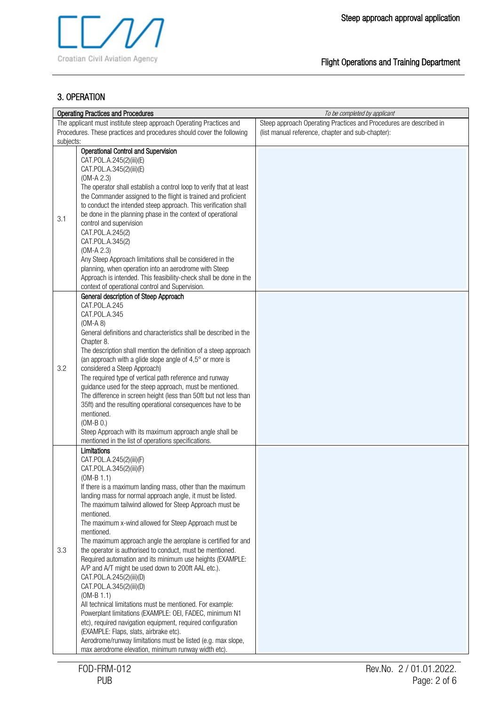### 3. OPERATION

|                                                                     | <b>Operating Practices and Procedures</b>                                                                                                                                                                                                                                                                                                                                                                                                                                                                                                                                                                                                                                                                                                                                                                                                                                                                                                                                                                                                        | To be completed by applicant                                       |
|---------------------------------------------------------------------|--------------------------------------------------------------------------------------------------------------------------------------------------------------------------------------------------------------------------------------------------------------------------------------------------------------------------------------------------------------------------------------------------------------------------------------------------------------------------------------------------------------------------------------------------------------------------------------------------------------------------------------------------------------------------------------------------------------------------------------------------------------------------------------------------------------------------------------------------------------------------------------------------------------------------------------------------------------------------------------------------------------------------------------------------|--------------------------------------------------------------------|
| The applicant must institute steep approach Operating Practices and |                                                                                                                                                                                                                                                                                                                                                                                                                                                                                                                                                                                                                                                                                                                                                                                                                                                                                                                                                                                                                                                  | Steep approach Operating Practices and Procedures are described in |
|                                                                     | Procedures. These practices and procedures should cover the following                                                                                                                                                                                                                                                                                                                                                                                                                                                                                                                                                                                                                                                                                                                                                                                                                                                                                                                                                                            | (list manual reference, chapter and sub-chapter):                  |
| subjects:                                                           |                                                                                                                                                                                                                                                                                                                                                                                                                                                                                                                                                                                                                                                                                                                                                                                                                                                                                                                                                                                                                                                  |                                                                    |
| 3.1                                                                 | <b>Operational Control and Supervision</b><br>CAT.POL.A.245(2)(iii)(E)<br>CAT.POL.A.345(2)(iii)(E)<br>$(OM-A 2.3)$<br>The operator shall establish a control loop to verify that at least<br>the Commander assigned to the flight is trained and proficient<br>to conduct the intended steep approach. This verification shall<br>be done in the planning phase in the context of operational<br>control and supervision<br>CAT.POL.A.245(2)<br>CAT.POL.A.345(2)<br>$(OM-A 2.3)$<br>Any Steep Approach limitations shall be considered in the<br>planning, when operation into an aerodrome with Steep<br>Approach is intended. This feasibility-check shall be done in the<br>context of operational control and Supervision.                                                                                                                                                                                                                                                                                                                   |                                                                    |
| 3.2                                                                 | General description of Steep Approach<br>CAT.POL.A.245<br>CAT.POL.A.345<br>$(OM-A 8)$<br>General definitions and characteristics shall be described in the<br>Chapter 8.<br>The description shall mention the definition of a steep approach<br>(an approach with a glide slope angle of 4,5° or more is<br>considered a Steep Approach)<br>The required type of vertical path reference and runway<br>guidance used for the steep approach, must be mentioned.<br>The difference in screen height (less than 50ft but not less than<br>35ft) and the resulting operational consequences have to be<br>mentioned.<br>$(OM-B 0.)$<br>Steep Approach with its maximum approach angle shall be<br>mentioned in the list of operations specifications.                                                                                                                                                                                                                                                                                               |                                                                    |
| 3.3                                                                 | Limitations<br>CAT.POL.A.245(2)(iii)(F)<br>CAT.POL.A.345(2)(iii)(F)<br>$(OM-B 1.1)$<br>If there is a maximum landing mass, other than the maximum<br>landing mass for normal approach angle, it must be listed.<br>The maximum tailwind allowed for Steep Approach must be<br>mentioned.<br>The maximum x-wind allowed for Steep Approach must be<br>mentioned.<br>The maximum approach angle the aeroplane is certified for and<br>the operator is authorised to conduct, must be mentioned.<br>Required automation and its minimum use heights (EXAMPLE:<br>A/P and A/T might be used down to 200ft AAL etc.).<br>CAT.POL.A.245(2)(iii)(D)<br>CAT.POL.A.345(2)(iii)(D)<br>$(OM-B 1.1)$<br>All technical limitations must be mentioned. For example:<br>Powerplant limitations (EXAMPLE: OEI, FADEC, minimum N1<br>etc), required navigation equipment, required configuration<br>(EXAMPLE: Flaps, slats, airbrake etc).<br>Aerodrome/runway limitations must be listed (e.g. max slope,<br>max aerodrome elevation, minimum runway width etc). |                                                                    |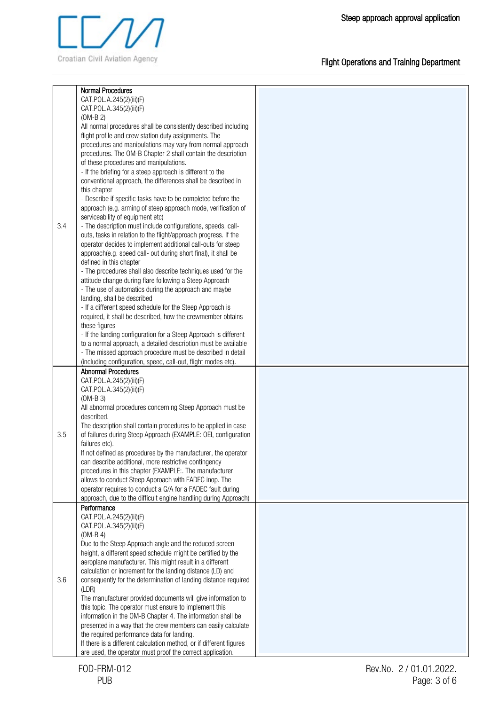

|     | <b>Normal Procedures</b>                                                                                                          |
|-----|-----------------------------------------------------------------------------------------------------------------------------------|
|     | CAT.POL.A.245(2)(iii)(F)                                                                                                          |
|     | CAT.POL.A.345(2)(iii)(F)                                                                                                          |
|     | $(OM-B 2)$                                                                                                                        |
|     | All normal procedures shall be consistently described including                                                                   |
|     | flight profile and crew station duty assignments. The                                                                             |
|     | procedures and manipulations may vary from normal approach                                                                        |
|     | procedures. The OM-B Chapter 2 shall contain the description                                                                      |
|     | of these procedures and manipulations.                                                                                            |
|     | - If the briefing for a steep approach is different to the                                                                        |
|     | conventional approach, the differences shall be described in                                                                      |
|     |                                                                                                                                   |
|     | this chapter                                                                                                                      |
|     | - Describe if specific tasks have to be completed before the                                                                      |
|     | approach (e.g. arming of steep approach mode, verification of                                                                     |
|     | serviceability of equipment etc)                                                                                                  |
| 3.4 | - The description must include configurations, speeds, call-                                                                      |
|     | outs, tasks in relation to the flight/approach progress. If the                                                                   |
|     | operator decides to implement additional call-outs for steep                                                                      |
|     | approach(e.g. speed call- out during short final), it shall be                                                                    |
|     | defined in this chapter                                                                                                           |
|     | - The procedures shall also describe techniques used for the                                                                      |
|     | attitude change during flare following a Steep Approach                                                                           |
|     | - The use of automatics during the approach and maybe                                                                             |
|     | landing, shall be described                                                                                                       |
|     | - If a different speed schedule for the Steep Approach is                                                                         |
|     | required, it shall be described, how the crewmember obtains                                                                       |
|     | these figures                                                                                                                     |
|     | - If the landing configuration for a Steep Approach is different                                                                  |
|     | to a normal approach, a detailed description must be available                                                                    |
|     | - The missed approach procedure must be described in detail                                                                       |
|     | (including configuration, speed, call-out, flight modes etc).                                                                     |
|     | <b>Abnormal Procedures</b>                                                                                                        |
|     | CAT.POL.A.245(2)(iii)(F)                                                                                                          |
|     | CAT.POL.A.345(2)(iii)(F)                                                                                                          |
|     |                                                                                                                                   |
|     | $(OM-B 3)$                                                                                                                        |
|     | All abnormal procedures concerning Steep Approach must be                                                                         |
|     | described.                                                                                                                        |
|     | The description shall contain procedures to be applied in case                                                                    |
| 3.5 | of failures during Steep Approach (EXAMPLE: OEI, configuration                                                                    |
|     | failures etc).                                                                                                                    |
|     | If not defined as procedures by the manufacturer, the operator                                                                    |
|     | can describe additional, more restrictive contingency                                                                             |
|     | procedures in this chapter (EXAMPLE:. The manufacturer                                                                            |
|     |                                                                                                                                   |
|     | allows to conduct Steep Approach with FADEC inop. The                                                                             |
|     | operator requires to conduct a G/A for a FADEC fault during                                                                       |
|     | approach, due to the difficult engine handling during Approach)                                                                   |
|     | Performance                                                                                                                       |
|     | CAT.POL.A.245(2)(iii)(F)                                                                                                          |
|     | CAT.POL.A.345(2)(iii)(F)                                                                                                          |
|     | $(OM-B 4)$                                                                                                                        |
|     | Due to the Steep Approach angle and the reduced screen                                                                            |
|     |                                                                                                                                   |
|     | height, a different speed schedule might be certified by the                                                                      |
|     | aeroplane manufacturer. This might result in a different                                                                          |
|     | calculation or increment for the landing distance (LD) and                                                                        |
|     | consequently for the determination of landing distance required                                                                   |
|     | (LDR)                                                                                                                             |
|     | The manufacturer provided documents will give information to                                                                      |
|     | this topic. The operator must ensure to implement this                                                                            |
|     | information in the OM-B Chapter 4. The information shall be                                                                       |
|     | presented in a way that the crew members can easily calculate                                                                     |
|     | the required performance data for landing.                                                                                        |
| 3.6 | If there is a different calculation method, or if different figures<br>are used, the operator must proof the correct application. |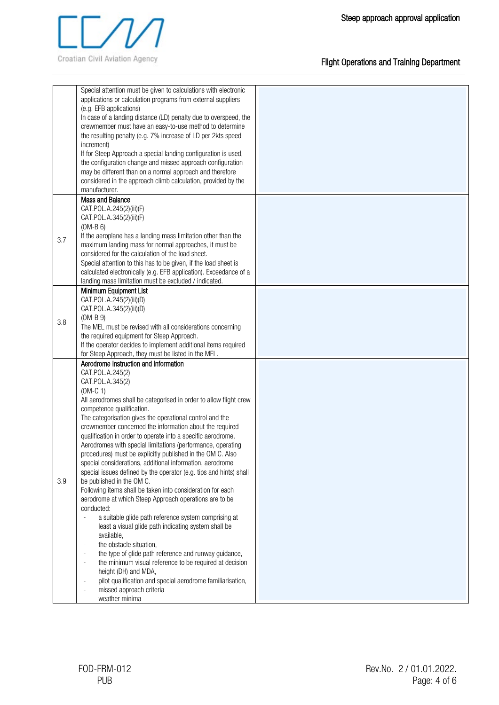

|     | Special attention must be given to calculations with electronic<br>applications or calculation programs from external suppliers<br>(e.g. EFB applications)<br>In case of a landing distance (LD) penalty due to overspeed, the<br>crewmember must have an easy-to-use method to determine<br>the resulting penalty (e.g. 7% increase of LD per 2kts speed<br>increment)<br>If for Steep Approach a special landing configuration is used,<br>the configuration change and missed approach configuration<br>may be different than on a normal approach and therefore<br>considered in the approach climb calculation, provided by the<br>manufacturer.                                                                                                                                                                                                                                                                                                                                                                                                                                                                                                                                                                                                                                                                                                |  |
|-----|------------------------------------------------------------------------------------------------------------------------------------------------------------------------------------------------------------------------------------------------------------------------------------------------------------------------------------------------------------------------------------------------------------------------------------------------------------------------------------------------------------------------------------------------------------------------------------------------------------------------------------------------------------------------------------------------------------------------------------------------------------------------------------------------------------------------------------------------------------------------------------------------------------------------------------------------------------------------------------------------------------------------------------------------------------------------------------------------------------------------------------------------------------------------------------------------------------------------------------------------------------------------------------------------------------------------------------------------------|--|
| 3.7 | <b>Mass and Balance</b><br>CAT.POL.A.245(2)(iii)(F)<br>CAT.POL.A.345(2)(iii)(F)<br>$(OM-B 6)$<br>If the aeroplane has a landing mass limitation other than the<br>maximum landing mass for normal approaches, it must be<br>considered for the calculation of the load sheet.<br>Special attention to this has to be given, if the load sheet is<br>calculated electronically (e.g. EFB application). Exceedance of a<br>landing mass limitation must be excluded / indicated.                                                                                                                                                                                                                                                                                                                                                                                                                                                                                                                                                                                                                                                                                                                                                                                                                                                                       |  |
| 3.8 | Minimum Equipment List<br>CAT.POL.A.245(2)(iii)(D)<br>CAT.POL.A.345(2)(iii)(D)<br>$(OM-B 9)$<br>The MEL must be revised with all considerations concerning<br>the required equipment for Steep Approach.<br>If the operator decides to implement additional items required<br>for Steep Approach, they must be listed in the MEL.                                                                                                                                                                                                                                                                                                                                                                                                                                                                                                                                                                                                                                                                                                                                                                                                                                                                                                                                                                                                                    |  |
| 3.9 | Aerodrome Instruction and Information<br>CAT.POL.A.245(2)<br>CAT.POL.A.345(2)<br>$(OM-C 1)$<br>All aerodromes shall be categorised in order to allow flight crew<br>competence qualification.<br>The categorisation gives the operational control and the<br>crewmember concerned the information about the required<br>qualification in order to operate into a specific aerodrome.<br>Aerodromes with special limitations (performance, operating<br>procedures) must be explicitly published in the OM C. Also<br>special considerations, additional information, aerodrome<br>special issues defined by the operator (e.g. tips and hints) shall<br>be published in the OM C.<br>Following items shall be taken into consideration for each<br>aerodrome at which Steep Approach operations are to be<br>conducted:<br>a suitable glide path reference system comprising at<br>÷,<br>least a visual glide path indicating system shall be<br>available,<br>the obstacle situation,<br>$\overline{\phantom{a}}$<br>the type of glide path reference and runway guidance,<br>$\overline{\phantom{a}}$<br>the minimum visual reference to be required at decision<br>$\overline{a}$<br>height (DH) and MDA,<br>pilot qualification and special aerodrome familiarisation,<br>$\overline{\phantom{a}}$<br>missed approach criteria<br>weather minima |  |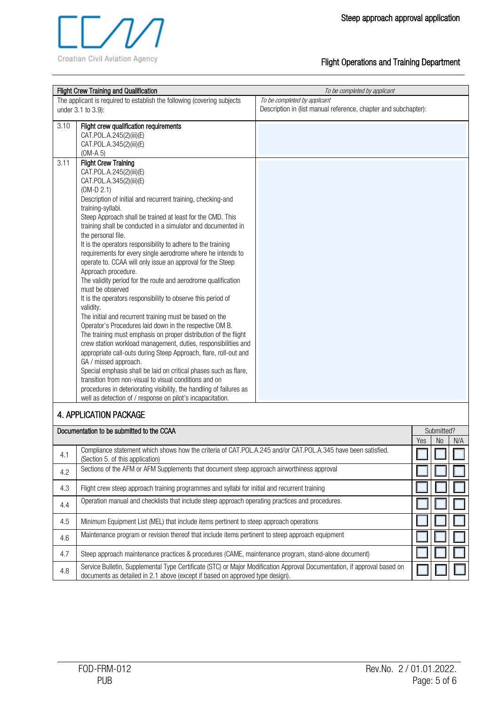

|      | Flight Crew Training and Qualification                                                                                                                                                                                                                                                                                                                                                                                                                                                                                                                                                                                                                                                                                                                                                                                                                                                                                                                                                                                                                                                                                                                                                                                                                                                                                                                                                        | To be completed by applicant                                                                    |     |                              |     |
|------|-----------------------------------------------------------------------------------------------------------------------------------------------------------------------------------------------------------------------------------------------------------------------------------------------------------------------------------------------------------------------------------------------------------------------------------------------------------------------------------------------------------------------------------------------------------------------------------------------------------------------------------------------------------------------------------------------------------------------------------------------------------------------------------------------------------------------------------------------------------------------------------------------------------------------------------------------------------------------------------------------------------------------------------------------------------------------------------------------------------------------------------------------------------------------------------------------------------------------------------------------------------------------------------------------------------------------------------------------------------------------------------------------|-------------------------------------------------------------------------------------------------|-----|------------------------------|-----|
|      | The applicant is required to establish the following (covering subjects<br>under 3.1 to 3.9):                                                                                                                                                                                                                                                                                                                                                                                                                                                                                                                                                                                                                                                                                                                                                                                                                                                                                                                                                                                                                                                                                                                                                                                                                                                                                                 | To be completed by applicant<br>Description in (list manual reference, chapter and subchapter): |     |                              |     |
| 3.10 | Flight crew qualification requirements<br>CAT.POL.A.245(2)(iii)(E)<br>CAT.POL.A.345(2)(iii)(E)<br>$(OM-A 5)$                                                                                                                                                                                                                                                                                                                                                                                                                                                                                                                                                                                                                                                                                                                                                                                                                                                                                                                                                                                                                                                                                                                                                                                                                                                                                  |                                                                                                 |     |                              |     |
| 3.11 | <b>Flight Crew Training</b><br>CAT.POL.A.245(2)(iii)(E)<br>CAT.POL.A.345(2)(iii)(E)<br>$(OM-D 2.1)$<br>Description of initial and recurrent training, checking-and<br>training-syllabi.<br>Steep Approach shall be trained at least for the CMD. This<br>training shall be conducted in a simulator and documented in<br>the personal file.<br>It is the operators responsibility to adhere to the training<br>requirements for every single aerodrome where he intends to<br>operate to. CCAA will only issue an approval for the Steep<br>Approach procedure.<br>The validity period for the route and aerodrome qualification<br>must be observed<br>It is the operators responsibility to observe this period of<br>validity.<br>The initial and recurrent training must be based on the<br>Operator's Procedures laid down in the respective OM B.<br>The training must emphasis on proper distribution of the flight<br>crew station workload management, duties, responsibilities and<br>appropriate call-outs during Steep Approach, flare, roll-out and<br>GA / missed approach.<br>Special emphasis shall be laid on critical phases such as flare,<br>transition from non-visual to visual conditions and on<br>procedures in deteriorating visibility, the handling of failures as<br>well as detection of / response on pilot's incapacitation.<br><b>4. APPLICATION PACKAGE</b> |                                                                                                 |     |                              |     |
|      | Documentation to be submitted to the CCAA                                                                                                                                                                                                                                                                                                                                                                                                                                                                                                                                                                                                                                                                                                                                                                                                                                                                                                                                                                                                                                                                                                                                                                                                                                                                                                                                                     |                                                                                                 | Yes | Submitted?<br>N <sub>0</sub> | N/A |
| 4.1  | Compliance statement which shows how the criteria of CAT.POL.A.245 and/or CAT.POL.A.345 have been satisfied.<br>(Section 5. of this application)                                                                                                                                                                                                                                                                                                                                                                                                                                                                                                                                                                                                                                                                                                                                                                                                                                                                                                                                                                                                                                                                                                                                                                                                                                              |                                                                                                 |     |                              |     |
| 4.2  | Sections of the AFM or AFM Supplements that document steep approach airworthiness approval                                                                                                                                                                                                                                                                                                                                                                                                                                                                                                                                                                                                                                                                                                                                                                                                                                                                                                                                                                                                                                                                                                                                                                                                                                                                                                    |                                                                                                 |     |                              |     |
| 4.3  | Flight crew steep approach training programmes and syllabi for initial and recurrent training                                                                                                                                                                                                                                                                                                                                                                                                                                                                                                                                                                                                                                                                                                                                                                                                                                                                                                                                                                                                                                                                                                                                                                                                                                                                                                 |                                                                                                 |     |                              |     |
| 4.4  | Operation manual and checklists that include steep approach operating practices and procedures.                                                                                                                                                                                                                                                                                                                                                                                                                                                                                                                                                                                                                                                                                                                                                                                                                                                                                                                                                                                                                                                                                                                                                                                                                                                                                               |                                                                                                 |     |                              |     |
| 4.5  | Minimum Equipment List (MEL) that include items pertinent to steep approach operations                                                                                                                                                                                                                                                                                                                                                                                                                                                                                                                                                                                                                                                                                                                                                                                                                                                                                                                                                                                                                                                                                                                                                                                                                                                                                                        |                                                                                                 |     |                              |     |
| 4.6  | Maintenance program or revision thereof that include items pertinent to steep approach equipment                                                                                                                                                                                                                                                                                                                                                                                                                                                                                                                                                                                                                                                                                                                                                                                                                                                                                                                                                                                                                                                                                                                                                                                                                                                                                              |                                                                                                 |     |                              |     |
| 4.7  | Steep approach maintenance practices & procedures (CAME, maintenance program, stand-alone document)                                                                                                                                                                                                                                                                                                                                                                                                                                                                                                                                                                                                                                                                                                                                                                                                                                                                                                                                                                                                                                                                                                                                                                                                                                                                                           |                                                                                                 |     |                              |     |
| 4.8  | Service Bulletin, Supplemental Type Certificate (STC) or Major Modification Approval Documentation, if approval based on<br>documents as detailed in 2.1 above (except if based on approved type design).                                                                                                                                                                                                                                                                                                                                                                                                                                                                                                                                                                                                                                                                                                                                                                                                                                                                                                                                                                                                                                                                                                                                                                                     |                                                                                                 |     |                              |     |